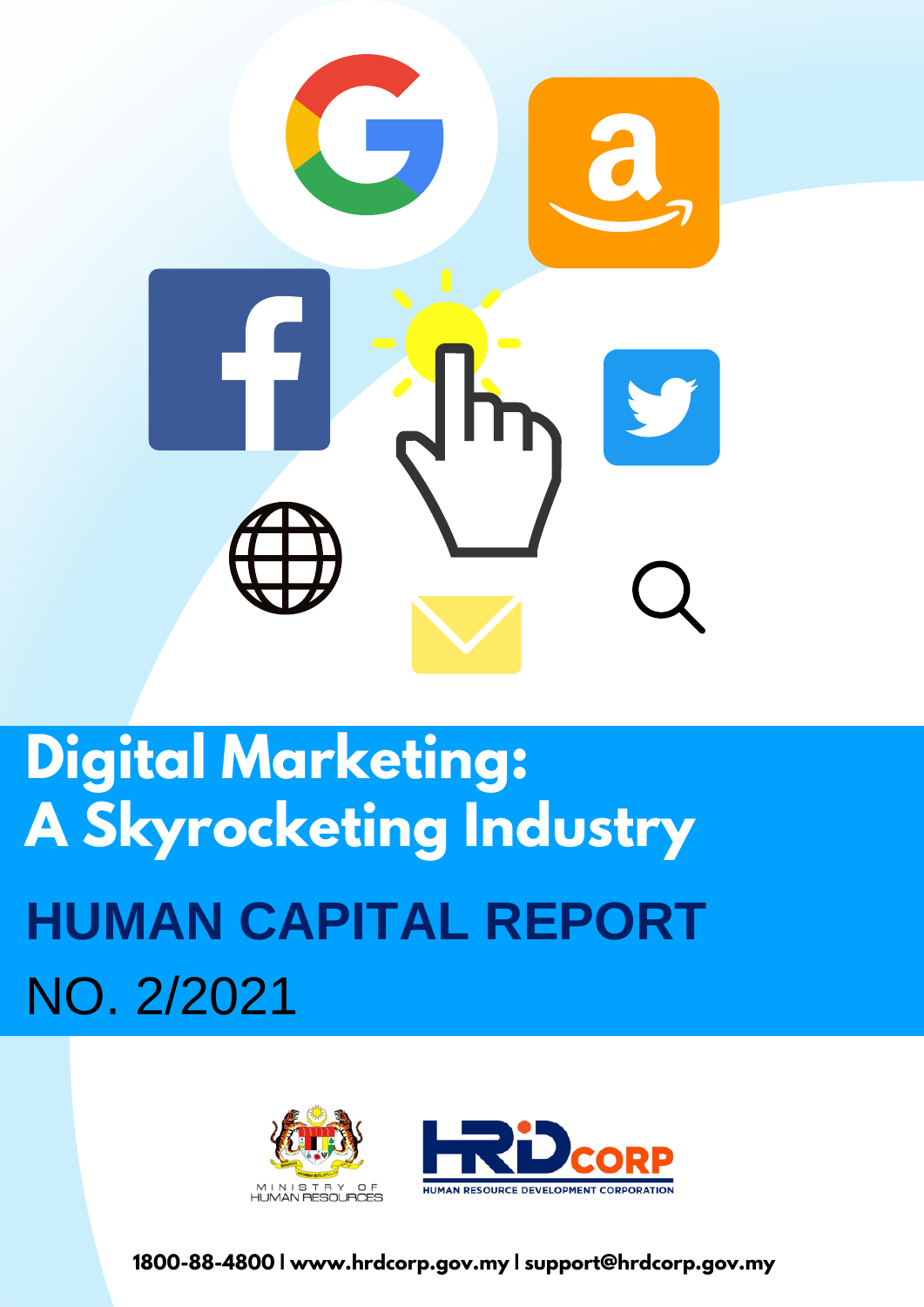

# **Digital Marketing: A Skyrocketing Industry HUMAN CAPITAL REPORT** NO. 2/2021





**1800-88-4800 | www.hrdcorp.gov.my | support@hrdcorp.gov.my**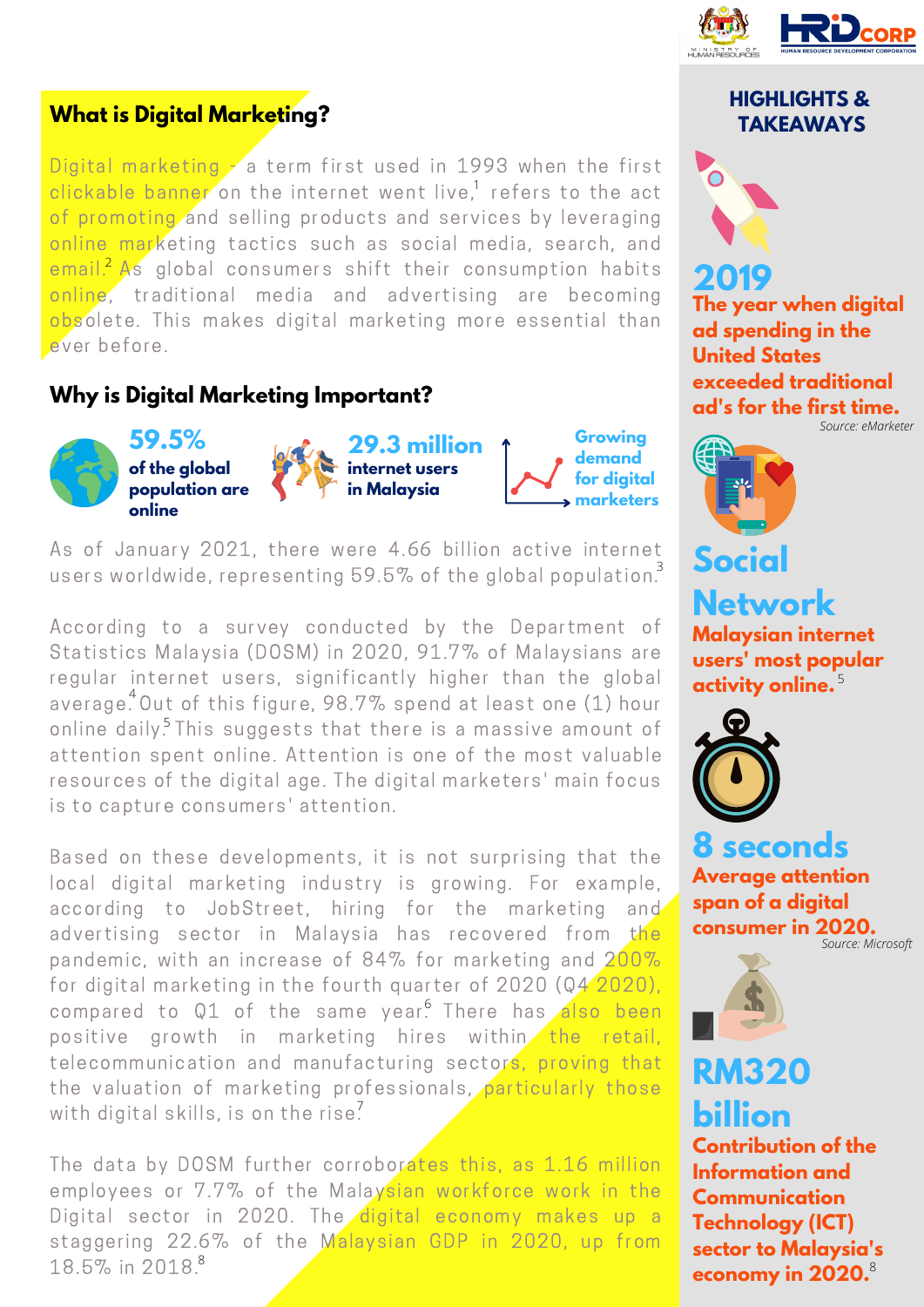

## **What is Digital Marketing?**

Digital marketing a term first used in 1993 when the first clickable banner on the internet went live,<sup>1</sup> refers to the act of promoting and selling products and services by leveraging online marketing tactics such as social media, search, and  $\epsilon$  email. As global consumers shift their consumption habits online, traditional media and advertising are becoming obsolete. This makes digital marketing more essential than ever before.

## **Why is Digital Marketing Important?**



As of January 2021, there were 4.66 billion active internet users worldwide, representing 59.5% of the global population.<sup>3</sup>

According to a survey conducted by the Department of Statistics Malaysia (DOSM) in 2020, 91.7% of Malaysians are regular internet users, significantly higher than the global average. Out of this figure, 98.7% spend at least one (1) hour online daily.<sup>5</sup> This suggests that there is a massive amount of attention spent online. Attention is one of the most valuable resources of the digital age. The digital marketers' main focus is to capture consumers' attention.

Based on these developments, it is not surprising that the local digital marketing industry is growing. For example, according to JobStreet, hiring for the marketing and advertising sector in Malaysia has recovered from the pandemic, with an increase of 84% for marketing and  $200\%$ for digital marketing in the fourth quarter of 2020 (Q4 2020), compared to Q1 of the same year. There has also been positive growth in marketing hires within the retail, telecommunication and manufacturing sectors, proving that the valuation of marketing professionals, particularly those with digital skills, is on the rise<sup>7</sup>

The data by DOSM further corroborates this, as 1.16 million employees or 7.7% of the Malaysian workforce work in the Digital sector in 2020. The digital economy makes up a staggering 22.6% of the Malaysian GDP in 2020, up from 18.5% in 2018. 8

### **HIGHLIGHTS & TAKEAWAYS**



# **2019**

**The year when digital ad spending in the United States exceeded traditional ad's for the first time.** *Source: eMarketer*



**Malaysian internet users' most popular activity online.** 5**Network**



**Average attention span of a digital consumer in 2020. 8 seconds**

*Source: Microsoft*



# **RM320 billion**

**Contribution of the Information and Communication Technology (ICT) sector to Malaysia's economy in 2020.** 8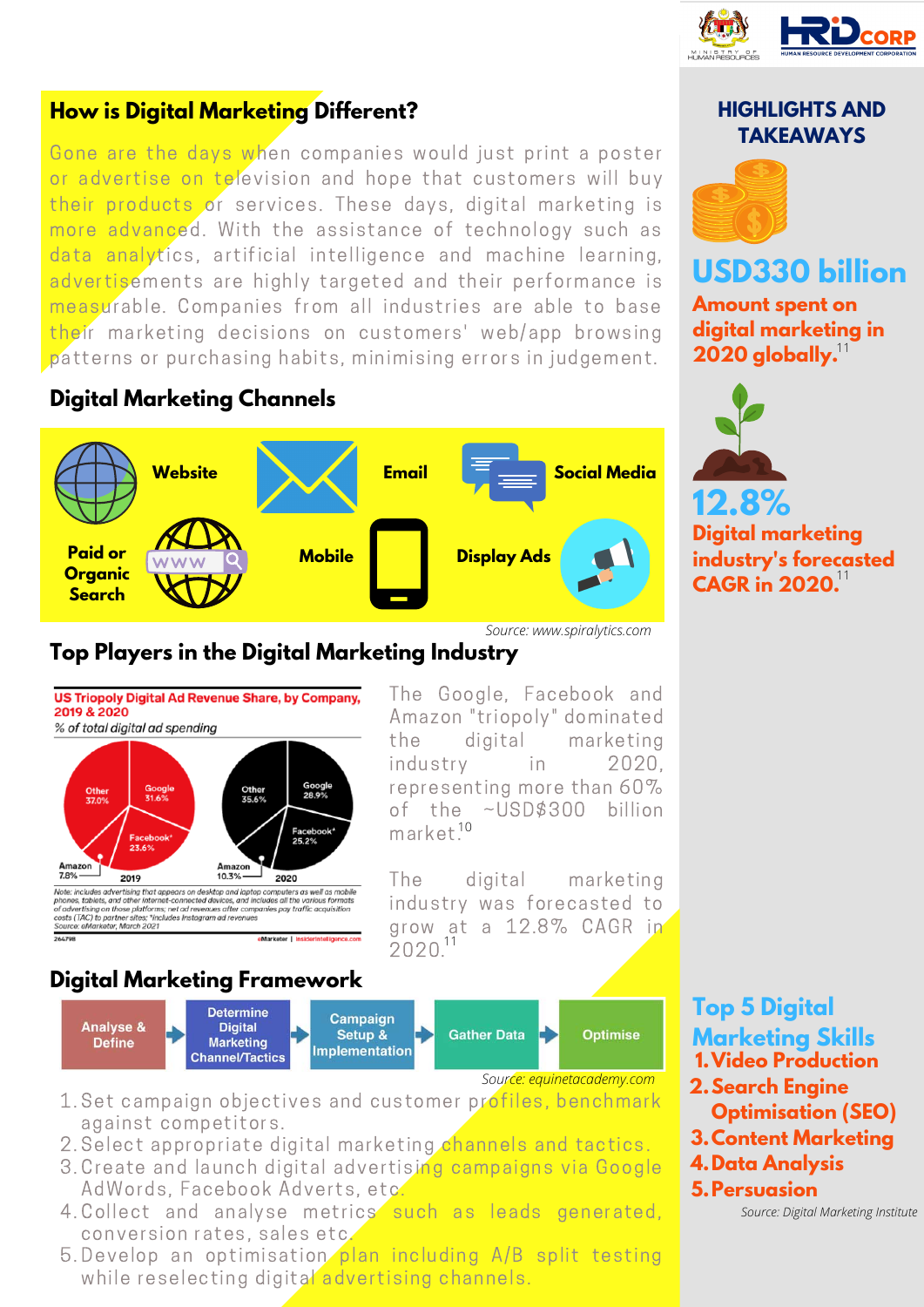

## **How is Digital Marketing Different?**

Gone are the days when companies would just print a poster or advertise on television and hope that customers will buy their products or services. These days, digital marketing is more advanced. With the assistance of technology such as data analytics, artificial intelligence and machine learning, advertisements are highly targeted and their performance is measurable. Companies from all industries are able to base their marketing decisions on customers' web/app browsing patterns or purchasing habits, minimising errors in judgement.

## **Digital Marketing Channels**



*Source: www.spiralytics.com*

## **Top Players in the Digital Marketing Industry**



The Google, Facebook and Amazon "triopoly" dominated the digital marketing industry in 2020, representing more than 60% of the ~USD\$300 billion market.<sup>10</sup>

The digital marketing industry was forecasted to grow at a 12.8% CAGR in  $2020^{11}$ 

## **Digital Marketing Framework**



*Source: equinetacademy.com*

- 1. Set campaign objectives and customer profiles, benchmark against competitors.
- 2. Select appropriate digital marketing channels and tactics.
- 3. Create and launch digital advertising campaigns via Google AdWords, Facebook Adverts, etc.
- 4. Collect and analyse metrics such as leads generated, conversion rates, sales etc.
- 5. Develop an optimisation plan including A/B split testing while reselecting digital advertising channels.

## **HIGHLIGHTS AND TAKEAWAYS**



## **USD330 billion**

**Amount spent on digital marketing in 2020 globally.** 11



**Digital marketing industry's forecasted CAGR in 2020.** 11

**Top 5 Digital Marketing Skills Video Production 1. Search Engine 2. Optimisation (SEO) Content Marketing 3.**

- **Data Analysis 4.**
- **Persuasion 5.**

*Source: Digital Marketing Institute*